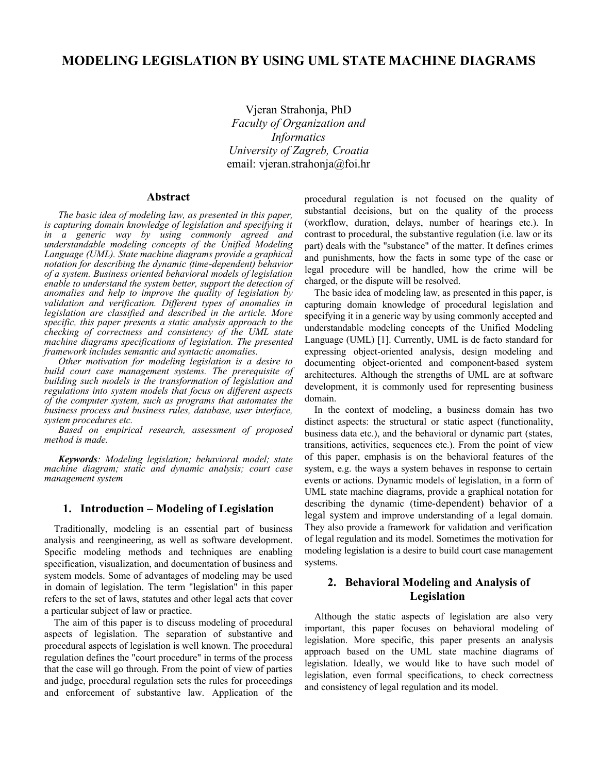# **MODELING LEGISLATION BY USING UML STATE MACHINE DIAGRAMS**

Vjeran Strahonja, PhD *Faculty of Organization and Informatics University of Zagreb, Croatia* email: vjeran.strahonja@foi.hr

### **Abstract**

*The basic idea of modeling law, as presented in this paper, is capturing domain knowledge of legislation and specifying it in a generic way by using commonly agreed and understandable modeling concepts of the Unified Modeling Language (UML). State machine diagrams provide a graphical notation for describing the dynamic (time-dependent) behavior of a system. Business oriented behavioral models of legislation enable to understand the system better, support the detection of anomalies and help to improve the quality of legislation by validation and verification. Different types of anomalies in legislation are classified and described in the article. More specific, this paper presents a static analysis approach to the checking of correctness and consistency of the UML state machine diagrams specifications of legislation. The presented framework includes semantic and syntactic anomalies.*

*Other motivation for modeling legislation is a desire to build court case management systems. The prerequisite of building such models is the transformation of legislation and regulations into system models that focus on different aspects of the computer system, such as programs that automates the business process and business rules, database, user interface, system procedures etc.*

*Based on empirical research, assessment of proposed method is made.*

*Keywords: Modeling legislation; behavioral model; state machine diagram; static and dynamic analysis; court case management system*

#### **1. Introduction – Modeling of Legislation**

Traditionally, modeling is an essential part of business analysis and reengineering, as well as software development. Specific modeling methods and techniques are enabling specification, visualization, and documentation of business and system models. Some of advantages of modeling may be used in domain of legislation. The term "legislation" in this paper refers to the set of laws, statutes and other legal acts that cover a particular subject of law or practice.

The aim of this paper is to discuss modeling of procedural aspects of legislation. The separation of substantive and procedural aspects of legislation is well known. The procedural regulation defines the "court procedure" in terms of the process that the case will go through. From the point of view of parties and judge, procedural regulation sets the rules for proceedings and enforcement of substantive law. Application of the procedural regulation is not focused on the quality of substantial decisions, but on the quality of the process (workflow, duration, delays, number of hearings etc.). In contrast to procedural, the substantive regulation (i.e. law or its part) deals with the "substance" of the matter. It defines crimes and punishments, how the facts in some type of the case or legal procedure will be handled, how the crime will be charged, or the dispute will be resolved.

The basic idea of modeling law, as presented in this paper, is capturing domain knowledge of procedural legislation and specifying it in a generic way by using commonly accepted and understandable modeling concepts of the Unified Modeling Language (UML) [1]. Currently, UML is de facto standard for expressing object-oriented analysis, design modeling and documenting object-oriented and component-based system architectures. Although the strengths of UML are at software development, it is commonly used for representing business domain.

In the context of modeling, a business domain has two distinct aspects: the structural or static aspect (functionality, business data etc.), and the behavioral or dynamic part (states, transitions, activities, sequences etc.). From the point of view of this paper, emphasis is on the behavioral features of the system, e.g. the ways a system behaves in response to certain events or actions. Dynamic models of legislation, in a form of UML state machine diagrams, provide a graphical notation for describing the dynamic (time-dependent) behavior of a legal system and improve understanding of a legal domain. They also provide a framework for validation and verification of legal regulation and its model. Sometimes the motivation for modeling legislation is a desire to build court case management systems.

# **2. Behavioral Modeling and Analysis of Legislation**

Although the static aspects of legislation are also very important, this paper focuses on behavioral modeling of legislation. More specific, this paper presents an analysis approach based on the UML state machine diagrams of legislation. Ideally, we would like to have such model of legislation, even formal specifications, to check correctness and consistency of legal regulation and its model.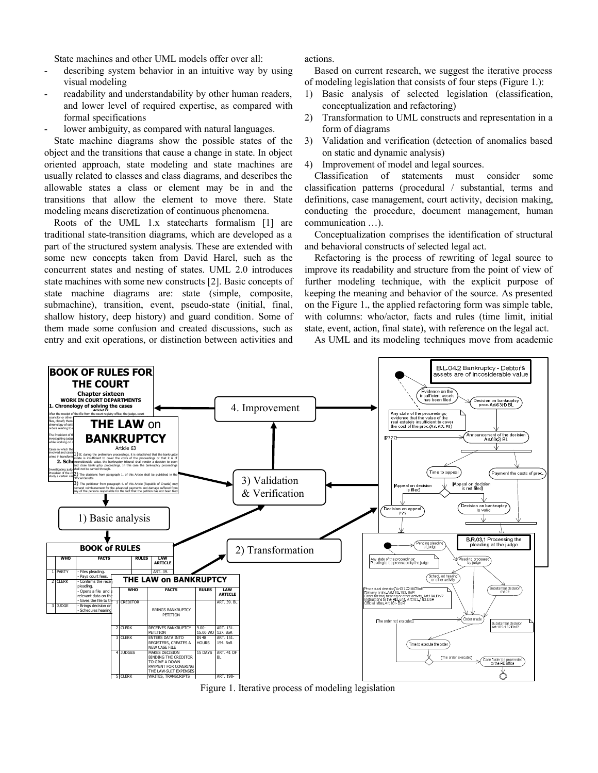State machines and other UML models offer over all:

- describing system behavior in an intuitive way by using visual modeling
- readability and understandability by other human readers, and lower level of required expertise, as compared with formal specifications
- lower ambiguity, as compared with natural languages.

State machine diagrams show the possible states of the object and the transitions that cause a change in state. In object oriented approach, state modeling and state machines are usually related to classes and class diagrams, and describes the allowable states a class or element may be in and the transitions that allow the element to move there. State modeling means discretization of continuous phenomena.

Roots of the UML 1.x statecharts formalism [1] are traditional state-transition diagrams, which are developed as a part of the structured system analysis. These are extended with some new concepts taken from David Harel, such as the concurrent states and nesting of states. UML 2.0 introduces state machines with some new constructs [2]. Basic concepts of state machine diagrams are: state (simple, composite, submachine), transition, event, pseudo-state (initial, final, shallow history, deep history) and guard condition. Some of them made some confusion and created discussions, such as entry and exit operations, or distinction between activities and

actions.

Based on current research, we suggest the iterative process of modeling legislation that consists of four steps (Figure 1.):

- 1) Basic analysis of selected legislation (classification, conceptualization and refactoring)
- 2) Transformation to UML constructs and representation in a form of diagrams
- 3) Validation and verification (detection of anomalies based on static and dynamic analysis)
- 4) Improvement of model and legal sources.

Classification of statements must consider some classification patterns (procedural / substantial, terms and definitions, case management, court activity, decision making, conducting the procedure, document management, human communication …).

Conceptualization comprises the identification of structural and behavioral constructs of selected legal act.

Refactoring is the process of rewriting of legal source to improve its readability and structure from the point of view of further modeling technique, with the explicit purpose of keeping the meaning and behavior of the source. As presented on the Figure 1., the applied refactoring form was simple table, with columns: who/actor, facts and rules (time limit, initial state, event, action, final state), with reference on the legal act.

As UML and its modeling techniques move from academic



Figure 1. Iterative process of modeling legislation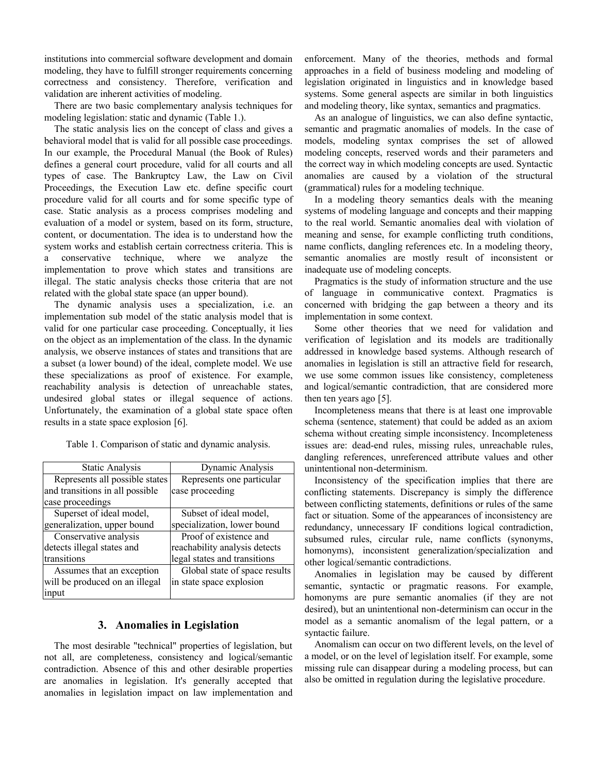institutions into commercial software development and domain modeling, they have to fulfill stronger requirements concerning correctness and consistency. Therefore, verification and validation are inherent activities of modeling.

There are two basic complementary analysis techniques for modeling legislation: static and dynamic (Table 1.).

The static analysis lies on the concept of class and gives a behavioral model that is valid for all possible case proceedings. In our example, the Procedural Manual (the Book of Rules) defines a general court procedure, valid for all courts and all types of case. The Bankruptcy Law, the Law on Civil Proceedings, the Execution Law etc. define specific court procedure valid for all courts and for some specific type of case. Static analysis as a process comprises modeling and evaluation of a model or system, based on its form, structure, content, or documentation. The idea is to understand how the system works and establish certain correctness criteria. This is a conservative technique, where we analyze the implementation to prove which states and transitions are illegal. The static analysis checks those criteria that are not related with the global state space (an upper bound).

The dynamic analysis uses a specialization, i.e. an implementation sub model of the static analysis model that is valid for one particular case proceeding. Conceptually, it lies on the object as an implementation of the class. In the dynamic analysis, we observe instances of states and transitions that are a subset (a lower bound) of the ideal, complete model. We use these specializations as proof of existence. For example, reachability analysis is detection of unreachable states, undesired global states or illegal sequence of actions. Unfortunately, the examination of a global state space often results in a state space explosion [6].

| Table 1. Comparison of static and dynamic analysis. |                           |
|-----------------------------------------------------|---------------------------|
| <b>Static Analysis</b>                              | Dynamic Analysis          |
| Represents all possible states                      | Represents one particular |

Represents all possible states and transitions in all possible case proceedings Represents one particular case proceeding Superset of ideal model, generalization, upper bound Subset of ideal model, specialization, lower bound Conservative analysis detects illegal states and transitions Proof of existence and reachability analysis detects legal states and transitions Assumes that an exception will be produced on an illegal input Global state of space results in state space explosion

## **3. Anomalies in Legislation**

The most desirable "technical" properties of legislation, but not all, are completeness, consistency and logical/semantic contradiction. Absence of this and other desirable properties are anomalies in legislation. It's generally accepted that anomalies in legislation impact on law implementation and enforcement. Many of the theories, methods and formal approaches in a field of business modeling and modeling of legislation originated in linguistics and in knowledge based systems. Some general aspects are similar in both linguistics and modeling theory, like syntax, semantics and pragmatics.

As an analogue of linguistics, we can also define syntactic, semantic and pragmatic anomalies of models. In the case of models, modeling syntax comprises the set of allowed modeling concepts, reserved words and their parameters and the correct way in which modeling concepts are used. Syntactic anomalies are caused by a violation of the structural (grammatical) rules for a modeling technique.

In a modeling theory semantics deals with the meaning systems of modeling language and concepts and their mapping to the real world. Semantic anomalies deal with violation of meaning and sense, for example conflicting truth conditions, name conflicts, dangling references etc. In a modeling theory, semantic anomalies are mostly result of inconsistent or inadequate use of modeling concepts.

Pragmatics is the study of information structure and the use of language in communicative context. Pragmatics is concerned with bridging the gap between a theory and its implementation in some context.

Some other theories that we need for validation and verification of legislation and its models are traditionally addressed in knowledge based systems. Although research of anomalies in legislation is still an attractive field for research, we use some common issues like consistency, completeness and logical/semantic contradiction, that are considered more then ten years ago [5].

Incompleteness means that there is at least one improvable schema (sentence, statement) that could be added as an axiom schema without creating simple inconsistency. Incompleteness issues are: dead-end rules, missing rules, unreachable rules, dangling references, unreferenced attribute values and other unintentional non-determinism.

Inconsistency of the specification implies that there are conflicting statements. Discrepancy is simply the difference between conflicting statements, definitions or rules of the same fact or situation. Some of the appearances of inconsistency are redundancy, unnecessary IF conditions logical contradiction, subsumed rules, circular rule, name conflicts (synonyms, homonyms), inconsistent generalization/specialization and other logical/semantic contradictions.

Anomalies in legislation may be caused by different semantic, syntactic or pragmatic reasons. For example, homonyms are pure semantic anomalies (if they are not desired), but an unintentional non-determinism can occur in the model as a semantic anomalism of the legal pattern, or a syntactic failure.

Anomalism can occur on two different levels, on the level of a model, or on the level of legislation itself. For example, some missing rule can disappear during a modeling process, but can also be omitted in regulation during the legislative procedure.